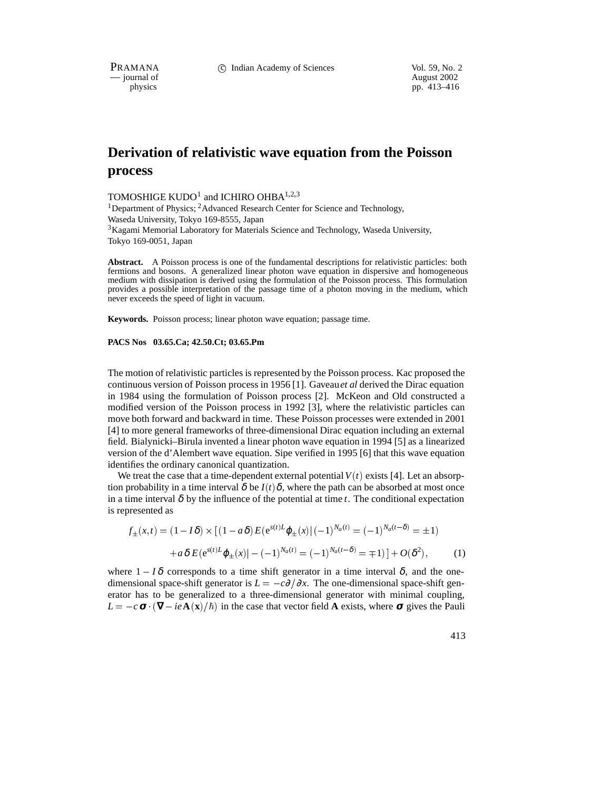PRAMANA 
<sup>C</sup> Indian Academy of Sciences Vol. 59, No. 2<br>
— iournal of August 2002

physics and the physics of August 2002 and the August 2002 and the August 2002 and the August 2002 and the August 2002 and the August 2002 and the August 2002 and the August 2002 and the August 2002 and the August 2002 and pp. 413–416

# **Derivation of relativistic wave equation from the Poisson process**

TOMOSHIGE KUDO<sup>1</sup> and ICHIRO OHBA<sup>1,2,3</sup>

<sup>1</sup>Department of Physics; <sup>2</sup>Advanced Research Center for Science and Technology, Waseda University, Tokyo 169-8555, Japan  $3$ Kagami Memorial Laboratory for Materials Science and Technology, Waseda University, Tokyo 169-0051, Japan

**Abstract.** A Poisson process is one of the fundamental descriptions for relativistic particles: both fermions and bosons. A generalized linear photon wave equation in dispersive and homogeneous medium with dissipation is derived using the formulation of the Poisson process. This formulation provides a possible interpretation of the passage time of a photon moving in the medium, which never exceeds the speed of light in vacuum.

**Keywords.** Poisson process; linear photon wave equation; passage time.

#### **PACS Nos 03.65.Ca; 42.50.Ct; 03.65.Pm**

The motion of relativistic particles is represented by the Poisson process. Kac proposed the continuous version of Poisson process in 1956 [1]. Gaveau*et al* derived the Dirac equation in 1984 using the formulation of Poisson process [2]. McKeon and Old constructed a modified version of the Poisson process in 1992 [3], where the relativistic particles can move both forward and backward in time. These Poisson processes were extended in 2001 [4] to more general frameworks of three-dimensional Dirac equation including an external field. Bialynicki–Birula invented a linear photon wave equation in 1994 [5] as a linearized version of the d'Alembert wave equation. Sipe verified in 1995 [6] that this wave equation identifies the ordinary canonical quantization.

We treat the case that a time-dependent external potential  $V(t)$  exists [4]. Let an absorption probability in a time interval  $\delta$  be  $I(t)\delta$ , where the path can be absorbed at most once in a time interval  $\delta$  by the influence of the potential at time *t*. The conditional expectation is represented as

$$
f_{\pm}(x,t) = (1 - I\delta) \times [(1 - a\delta)E(e^{s(t)L}\varphi_{\pm}(x)|(-1)^{N_a(t)} = (-1)^{N_a(t-\delta)} = \pm 1)
$$

$$
+ a\delta E(e^{s(t)L}\varphi_{\pm}(x)| - (-1)^{N_a(t)} = (-1)^{N_a(t-\delta)} = \mp 1)] + O(\delta^2), \tag{1}
$$

where  $1 - I\delta$  corresponds to a time shift generator in a time interval  $\delta$ , and the onedimensional space-shift generator is  $L = -c\partial/\partial x$ . The one-dimensional space-shift generator has to be generalized to a three-dimensional generator with minimal coupling,  $L = -c \sigma \cdot (\nabla - ie \mathbf{A}(\mathbf{x})/\hbar)$  in the case that vector field **A** exists, where  $\sigma$  gives the Pauli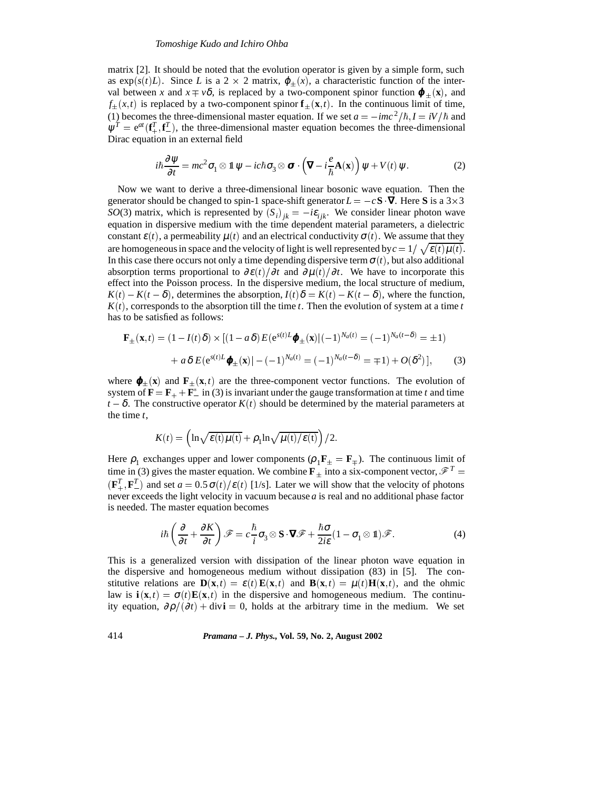## *Tomoshige Kudo and Ichiro Ohba*

matrix [2]. It should be noted that the evolution operator is given by a simple form, such as  $exp(s(t)L)$ . Since *L* is a 2  $\times$  2 matrix,  $\varphi_+(x)$ , a characteristic function of the interval between *x* and  $x \neq v\delta$ , is replaced by a two-component spinor function  $\boldsymbol{\varphi}_{\pm}(\mathbf{x})$ , and  $f_{+}(x,t)$  is replaced by a two-component spinor  $\mathbf{f}_{+}(\mathbf{x},t)$ . In the continuous limit of time, (1) becomes the three-dimensional master equation. If we set  $a = -imc^2/\hbar$ ,  $I = iV/\hbar$  and  $\psi^T = e^{at}(\mathbf{f}^T_+,\mathbf{f}^T_-)$ , the three-dimensional master equation becomes the three-dimensional Dirac equation in an external field

$$
i\hbar \frac{\partial \psi}{\partial t} = mc^2 \sigma_1 \otimes \mathbb{1} \, \psi - ic \hbar \sigma_3 \otimes \sigma \cdot \left( \nabla - i \frac{e}{\hbar} \mathbf{A}(\mathbf{x}) \right) \psi + V(t) \, \psi. \tag{2}
$$

Now we want to derive a three-dimensional linear bosonic wave equation. Then the generator should be changed to spin-1 space-shift generator  $L = -cS \nabla$ . Here S is a 3×3 *SO*(3) matrix, which is represented by  $(S_i)_{jk} = -i\varepsilon_{ijk}$ . We consider linear photon wave equation in dispersive medium with the time dependent material parameters, a dielectric constant  $\varepsilon(t)$ , a permeability  $\mu(t)$  and an electrical conductivity  $\sigma(t)$ . We assume that they are homogeneous in space and the velocity of light is well represented by  $c = 1/\sqrt{\varepsilon(t) \mu(t)}$ . In this case there occurs not only a time depending dispersive term  $\sigma(t)$ , but also additional absorption terms proportional to  $\frac{\partial \varepsilon(t)}{\partial t}$  and  $\frac{\partial \mu(t)}{\partial t}$ . We have to incorporate this effect into the Poisson process. In the dispersive medium, the local structure of medium,  $K(t) - K(t - \delta)$ , determines the absorption,  $I(t)\delta = K(t) - K(t - \delta)$ , where the function,  $K(t)$ , corresponds to the absorption till the time *t*. Then the evolution of system at a time *t* has to be satisfied as follows:

$$
\mathbf{F}_{\pm}(\mathbf{x},t) = (1 - I(t)\delta) \times [(1 - a\delta)E(e^{s(t)L}\boldsymbol{\varphi}_{\pm}(\mathbf{x})|(-1)^{N_a(t)} = (-1)^{N_a(t-\delta)} = \pm 1) + a\delta E(e^{s(t)L}\boldsymbol{\varphi}_{\pm}(\mathbf{x})| - (-1)^{N_a(t)} = (-1)^{N_a(t-\delta)} = \mp 1) + O(\delta^2)],
$$
(3)

where  $\varphi_{\pm}(\mathbf{x})$  and  $\mathbf{F}_{\pm}(\mathbf{x},t)$  are the three-component vector functions. The evolution of system of  $\mathbf{F} = \mathbf{F}_{+} + \mathbf{F}_{-}^{*}$  in (3) is invariant under the gauge transformation at time *t* and time  $t - \delta$ . The constructive operator  $K(t)$  should be determined by the material parameters at the time *t*,

$$
K(t) = \left(\ln\sqrt{\varepsilon(t)\mu(t)} + \rho_1\ln\sqrt{\mu(t)/\varepsilon(t)}\right)/2.
$$

Here  $\rho_1$  exchanges upper and lower components ( $\rho_1 \mathbf{F}_{\pm} = \mathbf{F}_{\mp}$ ). The continuous limit of time in (3) gives the master equation. We combine  $\mathbf{F}_{+}$  into a six-component vector,  $\mathcal{F}^{T} =$  $(\mathbf{F}_{+}^{T}, \mathbf{F}_{-}^{T})$  and set  $a = 0.5 \sigma(t)/\epsilon(t)$  [1/s]. Later we will show that the velocity of photons never exceeds the light velocity in vacuum because *a* is real and no additional phase factor is needed. The master equation becomes

$$
i\hbar \left(\frac{\partial}{\partial t} + \frac{\partial K}{\partial t}\right) \mathscr{F} = c \frac{\hbar}{i} \sigma_3 \otimes \mathbf{S} \cdot \mathbf{\nabla} \mathscr{F} + \frac{\hbar \sigma}{2i \varepsilon} (1 - \sigma_1 \otimes 1) \mathscr{F}.
$$
 (4)

This is a generalized version with dissipation of the linear photon wave equation in the dispersive and homogeneous medium without dissipation (83) in [5]. The constitutive relations are  $\mathbf{D}(\mathbf{x},t) = \varepsilon(t) \mathbf{E}(\mathbf{x},t)$  and  $\mathbf{B}(\mathbf{x},t) = \mu(t) \mathbf{H}(\mathbf{x},t)$ , and the ohmic law is  $\mathbf{i}(\mathbf{x},t) = \sigma(t)\mathbf{E}(\mathbf{x},t)$  in the dispersive and homogeneous medium. The continuity equation,  $\partial \rho/(\partial t)$  + div**i** = 0, holds at the arbitrary time in the medium. We set

414 *Pramana – J. Phys.,* **Vol. 59, No. 2, August 2002**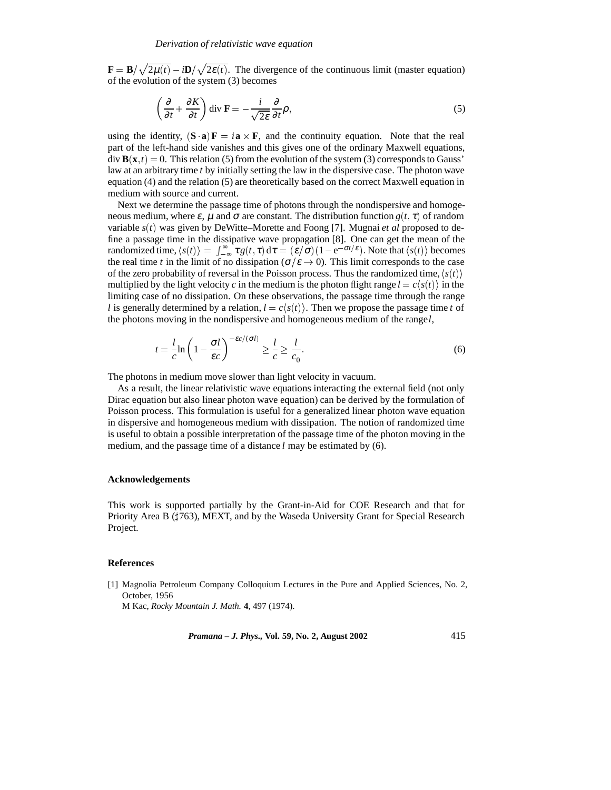$\mathbf{F} = \mathbf{B}/\sqrt{2\mu(t)} - i\mathbf{D}/\sqrt{2\epsilon(t)}$ . The divergence of the continuous limit (master equation) of the evolution of the system (3) becomes

$$
\left(\frac{\partial}{\partial t} + \frac{\partial K}{\partial t}\right) \operatorname{div} \mathbf{F} = -\frac{i}{\sqrt{2\varepsilon}} \frac{\partial}{\partial t} \rho,
$$
\n(5)

using the identity,  $({\bf S} \cdot {\bf a}) {\bf F} = i {\bf a} \times {\bf F}$ , and the continuity equation. Note that the real part of the left-hand side vanishes and this gives one of the ordinary Maxwell equations,  $div$  **B**( $\mathbf{x}, t$ ) = 0. This relation (5) from the evolution of the system (3) corresponds to Gauss' law at an arbitrary time *t* by initially setting the law in the dispersive case. The photon wave equation (4) and the relation (5) are theoretically based on the correct Maxwell equation in medium with source and current.

Next we determine the passage time of photons through the nondispersive and homogeneous medium, where  $\varepsilon$ ,  $\mu$  and  $\sigma$  are constant. The distribution function  $g(t, \tau)$  of random variable *s*(*t* ) was given by DeWitte–Morette and Foong [7]. Mugnai *et al* proposed to define a passage time in the dissipative wave propagation [8]. One can get the mean of the randomized time,  $\langle s(t) \rangle = \int_{-\infty}^{\infty} \tau g(t, \tau) d\tau = (\varepsilon/\sigma)(1-e^{-\sigma t/\varepsilon})$ . Note that  $\langle s(t) \rangle$  becomes the real time *t* in the limit of no dissipation ( $\sigma/\varepsilon \to 0$ ). This limit corresponds to the case of the zero probability of reversal in the Poisson process. Thus the randomized time,  $\langle s(t) \rangle$ multiplied by the light velocity *c* in the medium is the photon flight range  $l = c\langle s(t) \rangle$  in the limiting case of no dissipation. On these observations, the passage time through the range *l* is generally determined by a relation,  $l = c\langle s(t) \rangle$ . Then we propose the passage time *t* of the photons moving in the nondispersive and homogeneous medium of the range*l*,

$$
t = \frac{l}{c} \ln \left( 1 - \frac{\sigma l}{\varepsilon c} \right)^{-\varepsilon c/(\sigma l)} \ge \frac{l}{c} \ge \frac{l}{c_0}.
$$
 (6)

The photons in medium move slower than light velocity in vacuum.

As a result, the linear relativistic wave equations interacting the external field (not only Dirac equation but also linear photon wave equation) can be derived by the formulation of Poisson process. This formulation is useful for a generalized linear photon wave equation in dispersive and homogeneous medium with dissipation. The notion of randomized time is useful to obtain a possible interpretation of the passage time of the photon moving in the medium, and the passage time of a distance *l* may be estimated by (6).

# **Acknowledgements**

This work is supported partially by the Grant-in-Aid for COE Research and that for Priority Area B  $(1763)$ , MEXT, and by the Waseda University Grant for Special Research Project.

# **References**

[1] Magnolia Petroleum Company Colloquium Lectures in the Pure and Applied Sciences, No. 2, October, 1956

M Kac, *Rocky Mountain J. Math.* **4**, 497 (1974).

*Pramana – J. Phys.,* **Vol. 59, No. 2, August 2002** 415